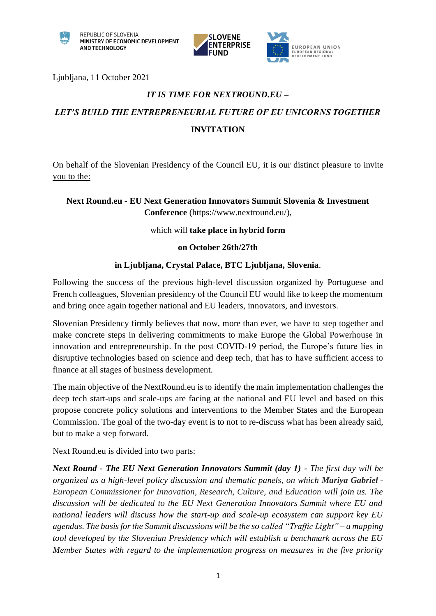



Ljubljana, 11 October 2021

## *IT IS TIME FOR NEXTROUND.EU –*

# *LET'S BUILD THE ENTREPRENEURIAL FUTURE OF EU UNICORNS TOGETHER* **INVITATION**

On behalf of the Slovenian Presidency of the Council EU, it is our distinct pleasure to invite you to the:

### **Next Round.eu - EU Next Generation Innovators Summit Slovenia & Investment Conference** [\(https://www.nextround.eu/\)](https://www.nextround.eu/),

#### which will **take place in hybrid form**

#### **on October 26th/27th**

#### **in Ljubljana, Crystal Palace, BTC Ljubljana, Slovenia**.

Following the success of the previous high-level discussion organized by Portuguese and French colleagues, Slovenian presidency of the Council EU would like to keep the momentum and bring once again together national and EU leaders, innovators, and investors.

Slovenian Presidency firmly believes that now, more than ever, we have to step together and make concrete steps in delivering commitments to make Europe the Global Powerhouse in innovation and entrepreneurship. In the post COVID-19 period, the Europe's future lies in disruptive technologies based on science and deep tech, that has to have sufficient access to finance at all stages of business development.

The main objective of the NextRound.eu is to identify the main implementation challenges the deep tech start-ups and scale-ups are facing at the national and EU level and based on this propose concrete policy solutions and interventions to the Member States and the European Commission. The goal of the two-day event is to not to re-discuss what has been already said, but to make a step forward.

Next Round.eu is divided into two parts:

*Next Round - The EU Next Generation Innovators Summit (day 1) - The first day will be organized as a high-level policy discussion and thematic panels, on which Mariya Gabriel - European Commissioner for Innovation, Research, Culture, and Education will join us. The discussion will be dedicated to the EU Next Generation Innovators Summit where EU and national leaders will discuss how the start-up and scale-up ecosystem can support key EU agendas. The basis for the Summit discussions will be the so called "Traffic Light" – a mapping tool developed by the Slovenian Presidency which will establish a benchmark across the EU Member States with regard to the implementation progress on measures in the five priority*